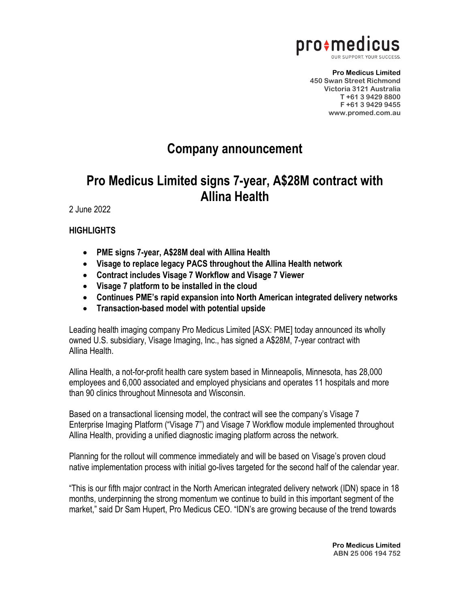

**Pro Medicus Limited 450 Swan Street Richmond Victoria 3121 Australia T +61 3 9429 8800 F +61 3 9429 9455 www.promed.com.au**

## **Company announcement**

## **Pro Medicus Limited signs 7-year, A\$28M contract with Allina Health**

2 June 2022

## **HIGHLIGHTS**

- **PME signs 7-year, A\$28M deal with Allina Health**
- **Visage to replace legacy PACS throughout the Allina Health network**
- **Contract includes Visage 7 Workflow and Visage 7 Viewer**
- **Visage 7 platform to be installed in the cloud**
- **Continues PME's rapid expansion into North American integrated delivery networks**
- **Transaction-based model with potential upside**

Leading health imaging company Pro Medicus Limited [ASX: PME] today announced its wholly owned U.S. subsidiary, Visage Imaging, Inc., has signed a A\$28M, 7-year contract with Allina Health.

Allina Health, a not-for-profit health care system based in Minneapolis, Minnesota, has 28,000 employees and 6,000 associated and employed physicians and operates 11 hospitals and more than 90 clinics throughout Minnesota and Wisconsin.

Based on a transactional licensing model, the contract will see the company's Visage 7 Enterprise Imaging Platform ("Visage 7") and Visage 7 Workflow module implemented throughout Allina Health, providing a unified diagnostic imaging platform across the network.

Planning for the rollout will commence immediately and will be based on Visage's proven cloud native implementation process with initial go-lives targeted for the second half of the calendar year.

"This is our fifth major contract in the North American integrated delivery network (IDN) space in 18 months, underpinning the strong momentum we continue to build in this important segment of the market," said Dr Sam Hupert, Pro Medicus CEO. "IDN's are growing because of the trend towards